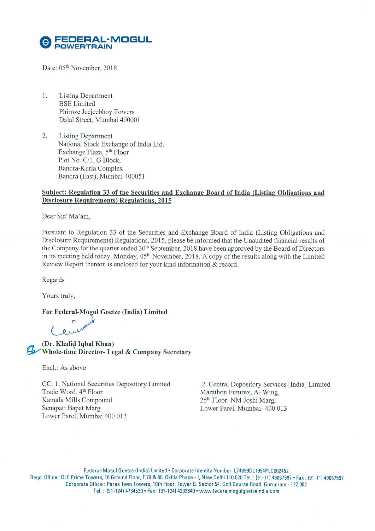

Date: 05<sup>th</sup> November, 2018

- 1. Listing Department BSE Limited Phiroze Jeejeebhoy Towers Dalal Street, Mumbai 400001
- 2. Listing Department National Stock Exchange of India Ltd. Exchange Plaza, 5<sup>th</sup> Floor Plot No. C/1, G Block, Bandra-Kurla Complex Bandra (East), Mumbai 400051

## **Subject: Regulation 33 of the Securities and Exchange Board of India (Listing Obligations and Disclosure Requirements) Regulations, 2015**

Dear Sir/ Ma'am,

Pursuant to Regulation 33 of the Securities and Exchange Board of India (Listing Obligations and Disclosure Requirements) Regulations, 2015, please be informed that the Unaudited financial results of the Company for the quarter ended 30<sup>th</sup> September, 2018 have been approved by the Board of Directors in its meeting held today, Monday, 05<sup>th</sup> November, 2018. A copy of the results along with the Limited Review Report thereon is enclosed for your kind information & record.

Regards

Yours truly,

For Federal-Mogul Goetze (India) Limited

**(Dr. Khalid Iqbal Khan)**  Whole tim~ **Director- Legal & Company Secretary** 

Encl.: As above

CC: 1. National Securities Depository Limited Trade Word, 4<sup>th</sup> Floor Kamala Mills Compound Senapati Bapat Marg Lower Pare!, Mumbai 400 013

2. Central Depository Services [India] Limited Marathon Futurex, A- Wing, 25<sup>th</sup> Floor, NM Joshi Marg, Lower Pare!, Mumbai- 400 013

Federal-Mogul Goetze (India) Limited • Corporate Identity Number: L74899DL1954PLC002452 Regd. Office : DLF Prime Towers. 10 Ground Floor, F 79 & 80, Okhla Phase - I. New Delhi 1 10 020 Tel. : (91-1 1) 49057597 • Fax : (91-1 1) 49057597 Corporate Oftice : Paras Twin Towers, 10th Floor, Tower B. Sector 54. Golf Course Road. Gurugram . 122 002 Tel. : (91-124) 4784530 • Fax : (91-124) 4292840 • www.lederalmogutgoetzeindia.com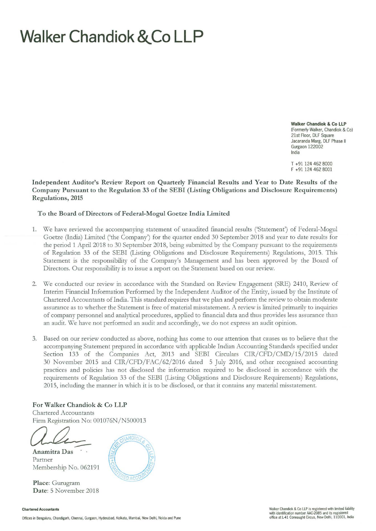## **Walker Chandiok &.Co LLP**

Walker Chandiok & Co **LLP**  (Formerly Walker, Chandiok & Co) 21st Floor, DLF Square Jacaranda Marg, DLF Phase II Gurgaon 122002 India

T +91 124 462 8000 F +91 124 462 8001

Independent Auditor's Review Report on Quarterly Financial Results and Year to Date Results of the Company Pursuant to the Regulation 33 of the SEBI (Listing Obligations and Disclosure Requirements) Regulations, 2015

To the Board of Directors of Federal-Mogul Goetze India Limited

- 1. We have reviewed the accompanying statement of unaudited financial results ('Statement') of Federal-Mogul Goetze (India) Limited ('the Company') for the quarter ended 30 September 2018 and year to date results for the period 1 April 2018 to 30 September 2018, being submitted by the Company pursuant to the requirements of Regulation 33 of the SEBI (Listing Obligations and Disclosure Requirements) Regulations, 2015. This Statement is the responsibility of the Company's Management and has been approved by the Board of Directors. Our responsibility is to issue a report on the Statement based on our review.
- 2. We conducted our review in accordance with the Standard on Review Engagement (SRE) 2410, Review of Interim Financial Information Performed by the Independent Auditor of the Entity, issued by the Institute of Chartered Accountants of India. This standard requires that we plan and perform the review to obtain moderate assurance as to whether the Statement is free of material misstatement. A review is limited primarily to inquiries of company personnel and analytical procedures, applied to financial data and thus provides less assurance than an audit. We have not performed an audit and accordingly, we do not express an audit opinion.
- 3. Based on our review conducted as above, nothing has come to our attention that causes us to believe that the accompanying Statement prepared in accordance with applicable Indian Accounting Standards specified under Section 133 of the Companies Act, 2013 and SEBI Circulars CIR/CFD/CMD/15/2015 dated 30 November 2015 and CIR/CFD/FAC/62/2016 dated 5 July 2016, and other recognised accounting practices and policies has not disclosed the information required to be disclosed in accordance with the requirements of Regulation 33 of the SEBI (Listing Obligations and Disclosure Requirements) Regulations, 2015, including the manner in which it is to be disclosed, or that it contains any material misstatement.

For Walker Chandiok & Co LLP Chartered Accountants Firm Registration No: 001076N/N500013

For Walker Chandiok & Co LLP<br>Chartered Accountants<br>Firm Registration No: 001076N/N500013<br>Contra Das

Partner Membership No. 062191

Place: Gurugram Date: 5 November 2018



## Chartered Accountants

Offices in Bengaluru, Chandigarh, Chennai, Gurgaon, Hyderabad, Kolkata, Mumbai, New Delhi, Noida and Pune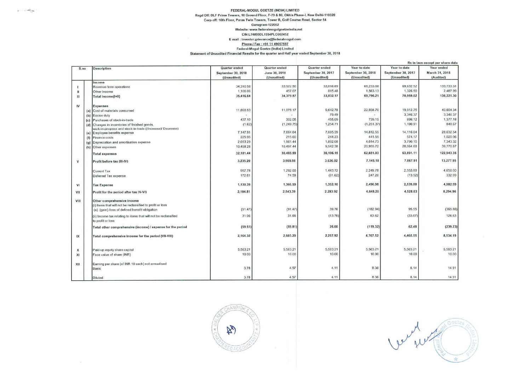## FEDERAL-MOGUL GOETZE (INDIA) LIMITED Regd Off: DLF Prime Towers, 10 Ground Floor, F-79 & 80, Okhla Phase-I, New Delhi-110020 Corp off: 10th Floor, Paras Twin Towers, Tower B, Golf Course Road, Sector 54 Gurugram-122002 Website: www.federalmogulgoetzeindia.net CIN:L74899DL1954PLC002452 E mail : Investor.grievance@federalmogul.com Phone / Fax: +91 11 49057597 Federal-Mogul Goetze (India) Limited Statement of Unaudited Financial Results for the quarter and Half year ended September 30, 2018

 $x = -\frac{1}{2}x^2 + 2x$ 

|              |     |                                                                 | Rs in lacs except per share data |               |                    |                    |                    |                |
|--------------|-----|-----------------------------------------------------------------|----------------------------------|---------------|--------------------|--------------------|--------------------|----------------|
| S.no         |     | <b>Description</b>                                              | Quarter ended                    | Quarter ended | Quarter ended      | Year to date       | Year to date       | Year ended     |
|              |     |                                                                 | September 30, 2018               | June 30, 2018 | September 30, 2017 | September 30, 2018 | September 30, 2017 | March 31, 2018 |
|              |     |                                                                 | (Unaudited)                      | (Unaudited)   | (Unaudited)        | (Unaudited)        | (Unaudited)        | (Audited)      |
|              |     | Income                                                          |                                  |               |                    |                    |                    |                |
|              |     | Revenue from operations                                         | 34,310.58                        | 33,922.50     | 33,016.69          | 68,233.08          | 69,632.52          | 133,733.31     |
| $\mathbf{H}$ |     | Other Income                                                    | 1,106.06                         | 457.07        | 815.48             | 1,563.13           | 1,326.50           | 2,487.99       |
| III          |     | Total Income(I+II)                                              | 35,416.64                        | 34,379.57     | 33,832.17          | 69,796.21          | 70,959.02          | 136,221.30     |
|              |     |                                                                 |                                  |               |                    |                    |                    |                |
| IV           |     | <b>Expenses</b>                                                 |                                  |               |                    |                    |                    |                |
|              |     | (a) Cost of materials consumed                                  | 11,860.53                        | 11.078.17     | 9,642.78           | 22,938.70          | 19,912.75          | 40,604.34      |
|              | (b) | Excise duty                                                     | $\sim$                           |               | 79.49              | $\sim$             | 3,346.37           | 3,346.37       |
|              | (c) | Purchases of stock-in-trade                                     | 437.10                           | 302.05        | 455.09             | 739.15             | 896.12             | 1,377.18       |
|              | (d) | Changes in inventories of finished goods,                       | (1.62)                           | (1.249.75)    | 1,254.71           | (1, 251.37)        | 1,190.91           | 848.67         |
|              |     | work-in-progress and stock-in-trade ((Increase)/ Decrease)      |                                  |               |                    |                    |                    |                |
|              | (e) | Employee benefits expense                                       | 7.147.91                         | 7.664.64      | 7,085.39           | 14,812.55          | 14.116.04          | 28.632.54      |
|              | (f) | Finance costs                                                   | 225.95                           | 215.60        | 244.23             | 441.55             | 574.17             | 1,020.06       |
|              |     | (g) Depreciation and amortisation expense                       | 2,053.29                         | 1,961.44      | 1,892.08           | 4,014.73           | 3,790.15           | 7.343.32       |
|              |     | (h) Other expenses                                              | 10,458.28                        | 10,497.44     | 9,542.38           | 20,955.72          | 20,064.60          | 39,770.87      |
|              |     | <b>Total expenses</b>                                           | 32,181.44                        | 30,469.59     | 30,196.15          | 62,651.03          | 63,891.11          | 122,943.35     |
|              |     |                                                                 | 3,235.20                         | 3,909.98      | 3.636.02           | 7.145.18           | 7.067.91           | 13,277.95      |
| v            |     | Profit before tax (III-IV)                                      |                                  |               |                    |                    |                    |                |
|              |     |                                                                 |                                  |               |                    | 2,249.78           | 2,553.80           | 4,650.00       |
|              |     | <b>Current Tax</b>                                              | 957.78                           | 1,292.00      | 1,443.72           |                    |                    | 332.99         |
|              |     | Deferred Tax expense                                            | 172.61                           | 74.59         | (91.62)            | 247.20             | (13.92)            |                |
| VI           |     | <b>Tax Expense</b>                                              | 1,130.39                         | 1,366.59      | 1,352.10           | 2,496.98           | 2,539.88           | 4,982.99       |
| VII          |     | Profit for the period after tax (V-VI)                          | 2,104.81                         | 2.543.39      | 2,283.92           | 4.648.20           | 4.528.03           | 8.294.96       |
| VIII         |     | Other comprehensive income                                      |                                  |               |                    |                    |                    |                |
|              |     | (i) Items that will not be reclassified to profit or loss       |                                  |               |                    |                    |                    |                |
|              |     | (a) (gain) /loss of defined benefit obligation                  | (91.47)                          | (91.47)       | 39.76              | (182.94)           | 95.55              | (365.86)       |
|              |     |                                                                 | 31.96                            | 31.66         | (13.76)            | 63.62              | (33.07)            | 126.63         |
|              |     | (ii) Income tax relating to items that will not be reclassified |                                  |               |                    |                    |                    |                |
|              |     | to profit or loss                                               |                                  |               |                    |                    |                    |                |
|              |     | Total other comprehensive (income) / expense for the period     | (59.51)                          | (59.81)       | 26.00              | (119.32)           | 62.48              | (239.23)       |
| IX           |     | Total comprehensive income for the period (VII-VIII)            | 2,164.32                         | 2.603.20      | 2,257.92           | 4,767.52           | 4,465.55           | 8,534.19       |
|              |     |                                                                 |                                  |               |                    |                    |                    |                |
| X            |     | Paid-up equity share capital                                    | 5,563.21                         | 5,563.21      | 5,563.21           | 5,563.21           | 5,563.21           | 5,563.21       |
| XI           |     | Face value of share (INR)                                       | 10.00                            | 10.00         | 10.00              | 10.00              | 10.00              | 10.00          |
|              |     |                                                                 |                                  |               |                    |                    |                    |                |
| XII          |     | Earning per share (of INR 10 each) not annualised               |                                  |               |                    |                    |                    |                |
|              |     | Basic                                                           | 3.78                             | 4.57          | 4.11               | 8.36               | 8.14               | 14.91          |
|              |     |                                                                 |                                  |               |                    |                    |                    |                |
|              |     | <b>Diluted</b>                                                  | 3.78                             | 4.57          | 4.11               | 8.36               | 8.14               | 14.91          |

ND. **Z** 

Werner To